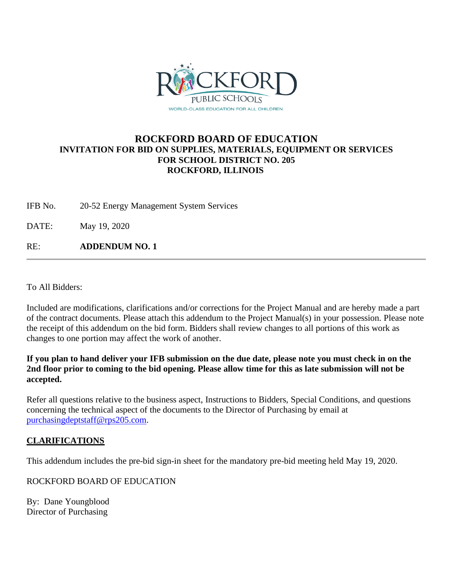

### **ROCKFORD BOARD OF EDUCATION INVITATION FOR BID ON SUPPLIES, MATERIALS, EQUIPMENT OR SERVICES FOR SCHOOL DISTRICT NO. 205 ROCKFORD, ILLINOIS**

IFB No. 20-52 Energy Management System Services

DATE: May 19, 2020

RE: **ADDENDUM NO. 1**

To All Bidders:

Included are modifications, clarifications and/or corrections for the Project Manual and are hereby made a part of the contract documents. Please attach this addendum to the Project Manual(s) in your possession. Please note the receipt of this addendum on the bid form. Bidders shall review changes to all portions of this work as changes to one portion may affect the work of another.

**If you plan to hand deliver your IFB submission on the due date, please note you must check in on the 2nd floor prior to coming to the bid opening. Please allow time for this as late submission will not be accepted.**

Refer all questions relative to the business aspect, Instructions to Bidders, Special Conditions, and questions concerning the technical aspect of the documents to the Director of Purchasing by email at [purchasingdeptstaff@rps205.com.](mailto:purchasingdeptstaff@rps205.com)

#### **CLARIFICATIONS**

This addendum includes the pre-bid sign-in sheet for the mandatory pre-bid meeting held May 19, 2020.

ROCKFORD BOARD OF EDUCATION

By: Dane Youngblood Director of Purchasing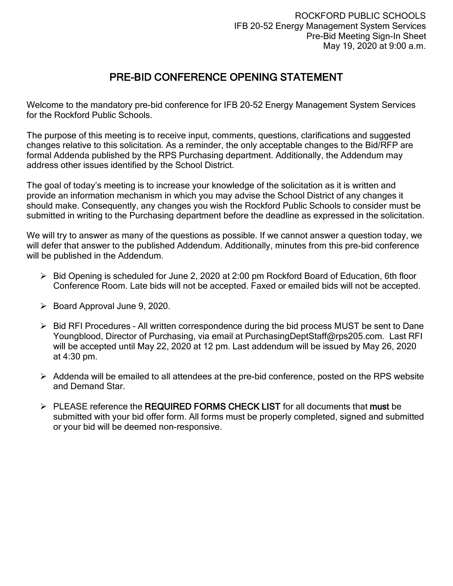# PRE-BID CONFERENCE OPENING STATEMENT

Welcome to the mandatory pre-bid conference for IFB 20-52 Energy Management System Services for the Rockford Public Schools.

The purpose of this meeting is to receive input, comments, questions, clarifications and suggested changes relative to this solicitation. As a reminder, the only acceptable changes to the Bid/RFP are formal Addenda published by the RPS Purchasing department. Additionally, the Addendum may address other issues identified by the School District.

The goal of today's meeting is to increase your knowledge of the solicitation as it is written and provide an information mechanism in which you may advise the School District of any changes it should make. Consequently, any changes you wish the Rockford Public Schools to consider must be submitted in writing to the Purchasing department before the deadline as expressed in the solicitation.

We will try to answer as many of the questions as possible. If we cannot answer a question today, we will defer that answer to the published Addendum. Additionally, minutes from this pre-bid conference will be published in the Addendum.

- $\triangleright$  Bid Opening is scheduled for June 2, 2020 at 2:00 pm Rockford Board of Education, 6th floor Conference Room. Late bids will not be accepted. Faxed or emailed bids will not be accepted.
- $\triangleright$  Board Approval June 9, 2020.
- ▶ Bid RFI Procedures All written correspondence during the bid process MUST be sent to Dane Youngblood, Director of Purchasing, via email at PurchasingDeptStaff@rps205.com. Last RFI will be accepted until May 22, 2020 at 12 pm. Last addendum will be issued by May 26, 2020 at 4:30 pm.
- $\triangleright$  Addenda will be emailed to all attendees at the pre-bid conference, posted on the RPS website and Demand Star.
- $\triangleright$  PLEASE reference the REQUIRED FORMS CHECK LIST for all documents that must be submitted with your bid offer form. All forms must be properly completed, signed and submitted or your bid will be deemed non-responsive.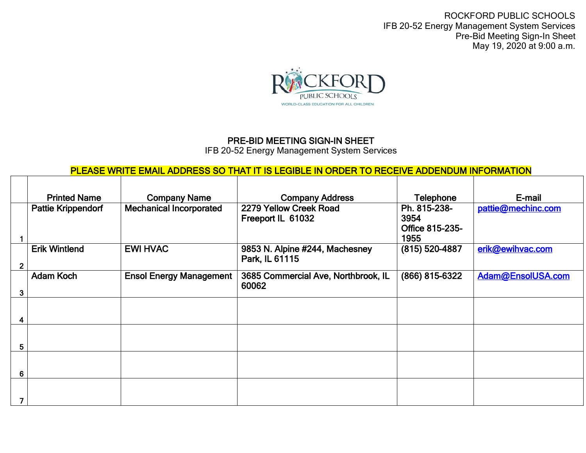ROCKFORD PUBLIC SCHOOLS IFB 20-52 Energy Management System Services Pre-Bid Meeting Sign-In Sheet May 19, 2020 at 9:00 a.m.



## PRE-BID MEETING SIGN-IN SHEET

IFB 20-52 Energy Management System Services

## PLEASE WRITE EMAIL ADDRESS SO THAT IT IS LEGIBLE IN ORDER TO RECEIVE ADDENDUM INFORMATION

|              | <b>Printed Name</b>       | <b>Company Name</b>            | <b>Company Address</b>                           | <b>Telephone</b>                                | E-mail             |
|--------------|---------------------------|--------------------------------|--------------------------------------------------|-------------------------------------------------|--------------------|
|              | <b>Pattie Krippendorf</b> | <b>Mechanical Incorporated</b> | 2279 Yellow Creek Road<br>Freeport IL 61032      | Ph. 815-238-<br>3954<br>Office 815-235-<br>1955 | pattie@mechinc.com |
| $\mathbf{2}$ | <b>Erik Wintlend</b>      | <b>EWI HVAC</b>                | 9853 N. Alpine #244, Machesney<br>Park, IL 61115 | (815) 520-4887                                  | erik@ewihvac.com   |
| 3            | Adam Koch                 | <b>Ensol Energy Management</b> | 3685 Commercial Ave, Northbrook, IL<br>60062     | (866) 815-6322                                  | Adam@EnsolUSA.com  |
|              |                           |                                |                                                  |                                                 |                    |
| 5            |                           |                                |                                                  |                                                 |                    |
| 6            |                           |                                |                                                  |                                                 |                    |
|              |                           |                                |                                                  |                                                 |                    |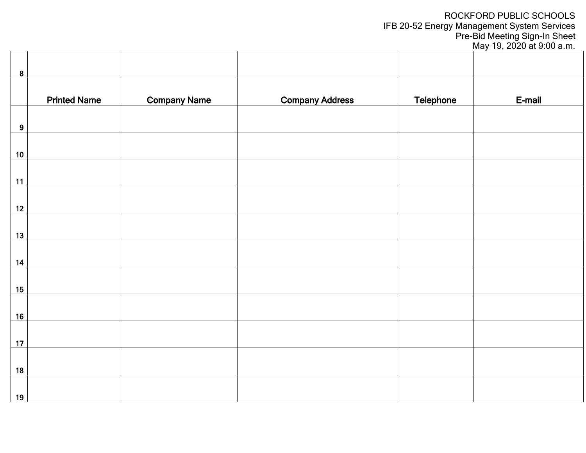## ROCKFORD PUBLIC SCHOOLS IFB 20-52 Energy Management System Services

Pre-Bid Meeting Sign-In Sheet May 19, 2020 at 9:00 a.m.

| $\boldsymbol{8}$ |                     |                     |                        |                  |        |
|------------------|---------------------|---------------------|------------------------|------------------|--------|
|                  | <b>Printed Name</b> | <b>Company Name</b> | <b>Company Address</b> | <b>Telephone</b> | E-mail |
| $\boldsymbol{9}$ |                     |                     |                        |                  |        |
| 10               |                     |                     |                        |                  |        |
| 11               |                     |                     |                        |                  |        |
| 12               |                     |                     |                        |                  |        |
| 13               |                     |                     |                        |                  |        |
| $14$             |                     |                     |                        |                  |        |
| 15               |                     |                     |                        |                  |        |
|                  |                     |                     |                        |                  |        |
| 16               |                     |                     |                        |                  |        |
| 17               |                     |                     |                        |                  |        |
| 18<br>19         |                     |                     |                        |                  |        |